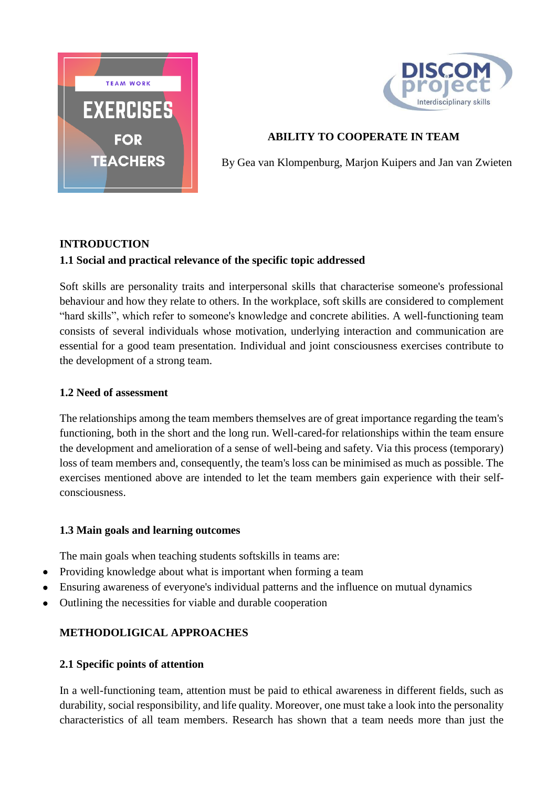



# **ABILITY TO COOPERATE IN TEAM**

By Gea van Klompenburg, Marjon Kuipers and Jan van Zwieten

# **INTRODUCTION**

# **1.1 Social and practical relevance of the specific topic addressed**

Soft skills are personality traits and interpersonal skills that characterise someone's professional behaviour and how they relate to others. In the workplace, soft skills are considered to complement "hard skills", which refer to someone's knowledge and concrete abilities. A well-functioning team consists of several individuals whose motivation, underlying interaction and communication are essential for a good team presentation. Individual and joint consciousness exercises contribute to the development of a strong team.

### **1.2 Need of assessment**

The relationships among the team members themselves are of great importance regarding the team's functioning, both in the short and the long run. Well-cared-for relationships within the team ensure the development and amelioration of a sense of well-being and safety. Via this process (temporary) loss of team members and, consequently, the team's loss can be minimised as much as possible. The exercises mentioned above are intended to let the team members gain experience with their selfconsciousness.

### **1.3 Main goals and learning outcomes**

The main goals when teaching students softskills in teams are:

- Providing knowledge about what is important when forming a team
- Ensuring awareness of everyone's individual patterns and the influence on mutual dynamics
- Outlining the necessities for viable and durable cooperation

# **METHODOLIGICAL APPROACHES**

### **2.1 Specific points of attention**

In a well-functioning team, attention must be paid to ethical awareness in different fields, such as durability, social responsibility, and life quality. Moreover, one must take a look into the personality characteristics of all team members. Research has shown that a team needs more than just the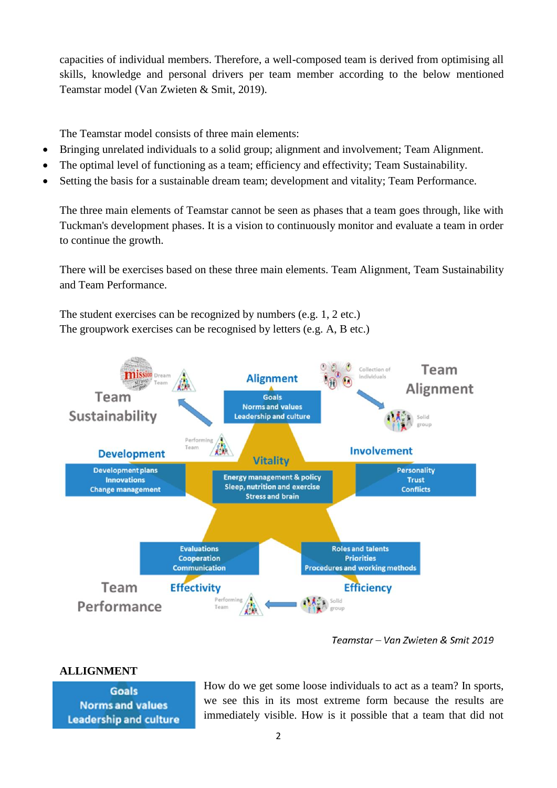capacities of individual members. Therefore, a well-composed team is derived from optimising all skills, knowledge and personal drivers per team member according to the below mentioned Teamstar model (Van Zwieten & Smit, 2019).

The Teamstar model consists of three main elements:

- Bringing unrelated individuals to a solid group; alignment and involvement; Team Alignment.
- The optimal level of functioning as a team; efficiency and effectivity; Team Sustainability.
- Setting the basis for a sustainable dream team; development and vitality; Team Performance.

The three main elements of Teamstar cannot be seen as phases that a team goes through, like with Tuckman's development phases. It is a vision to continuously monitor and evaluate a team in order to continue the growth.

There will be exercises based on these three main elements. Team Alignment, Team Sustainability and Team Performance.

The student exercises can be recognized by numbers (e.g. 1, 2 etc.) The groupwork exercises can be recognised by letters (e.g. A, B etc.)



Teamstar - Van Zwieten & Smit 2019

#### **ALLIGNMENT**

**Goals Norms and values Leadership and culture**  How do we get some loose individuals to act as a team? In sports, we see this in its most extreme form because the results are immediately visible. How is it possible that a team that did not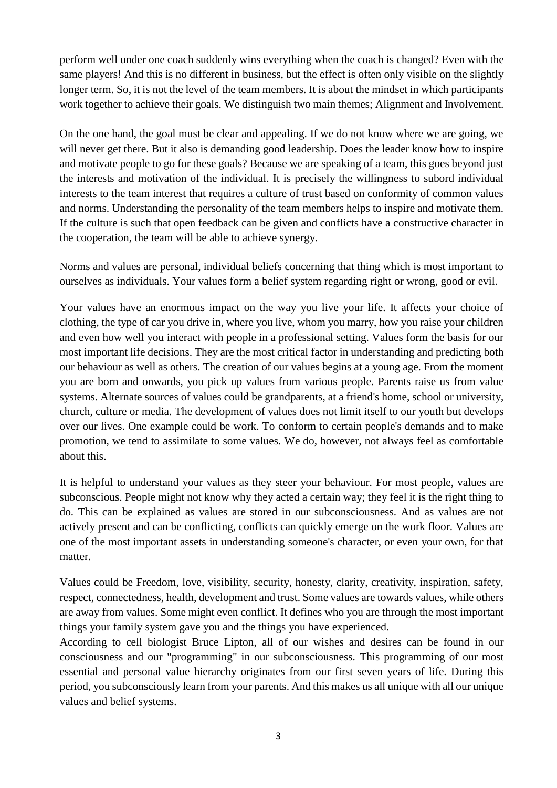perform well under one coach suddenly wins everything when the coach is changed? Even with the same players! And this is no different in business, but the effect is often only visible on the slightly longer term. So, it is not the level of the team members. It is about the mindset in which participants work together to achieve their goals. We distinguish two main themes; Alignment and Involvement.

On the one hand, the goal must be clear and appealing. If we do not know where we are going, we will never get there. But it also is demanding good leadership. Does the leader know how to inspire and motivate people to go for these goals? Because we are speaking of a team, this goes beyond just the interests and motivation of the individual. It is precisely the willingness to subord individual interests to the team interest that requires a culture of trust based on conformity of common values and norms. Understanding the personality of the team members helps to inspire and motivate them. If the culture is such that open feedback can be given and conflicts have a constructive character in the cooperation, the team will be able to achieve synergy.

Norms and values are personal, individual beliefs concerning that thing which is most important to ourselves as individuals. Your values form a belief system regarding right or wrong, good or evil.

Your values have an enormous impact on the way you live your life. It affects your choice of clothing, the type of car you drive in, where you live, whom you marry, how you raise your children and even how well you interact with people in a professional setting. Values form the basis for our most important life decisions. They are the most critical factor in understanding and predicting both our behaviour as well as others. The creation of our values begins at a young age. From the moment you are born and onwards, you pick up values from various people. Parents raise us from value systems. Alternate sources of values could be grandparents, at a friend's home, school or university, church, culture or media. The development of values does not limit itself to our youth but develops over our lives. One example could be work. To conform to certain people's demands and to make promotion, we tend to assimilate to some values. We do, however, not always feel as comfortable about this.

It is helpful to understand your values as they steer your behaviour. For most people, values are subconscious. People might not know why they acted a certain way; they feel it is the right thing to do. This can be explained as values are stored in our subconsciousness. And as values are not actively present and can be conflicting, conflicts can quickly emerge on the work floor. Values are one of the most important assets in understanding someone's character, or even your own, for that matter.

Values could be Freedom, love, visibility, security, honesty, clarity, creativity, inspiration, safety, respect, connectedness, health, development and trust. Some values are towards values, while others are away from values. Some might even conflict. It defines who you are through the most important things your family system gave you and the things you have experienced.

According to cell biologist Bruce Lipton, all of our wishes and desires can be found in our consciousness and our "programming" in our subconsciousness. This programming of our most essential and personal value hierarchy originates from our first seven years of life. During this period, you subconsciously learn from your parents. And this makes us all unique with all our unique values and belief systems.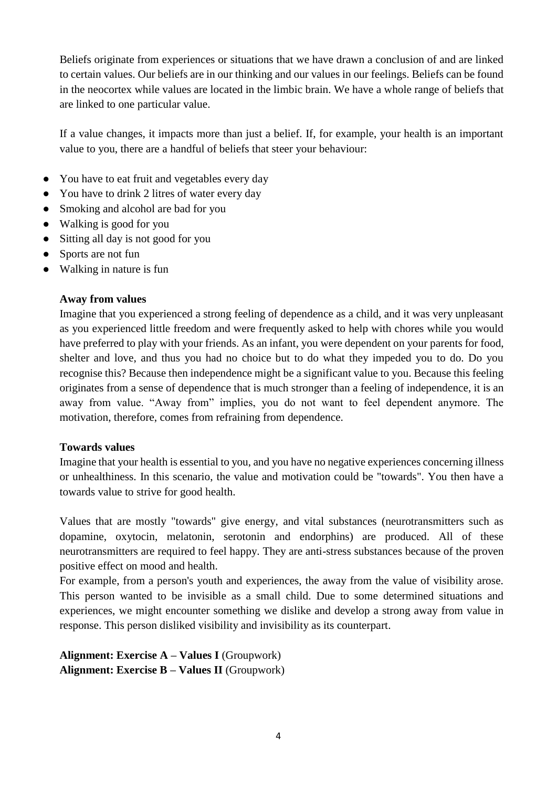Beliefs originate from experiences or situations that we have drawn a conclusion of and are linked to certain values. Our beliefs are in our thinking and our values in our feelings. Beliefs can be found in the neocortex while values are located in the limbic brain. We have a whole range of beliefs that are linked to one particular value.

If a value changes, it impacts more than just a belief. If, for example, your health is an important value to you, there are a handful of beliefs that steer your behaviour:

- You have to eat fruit and vegetables every day
- You have to drink 2 litres of water every day
- Smoking and alcohol are bad for you
- Walking is good for you
- Sitting all day is not good for you
- Sports are not fun
- Walking in nature is fun

#### **Away from values**

Imagine that you experienced a strong feeling of dependence as a child, and it was very unpleasant as you experienced little freedom and were frequently asked to help with chores while you would have preferred to play with your friends. As an infant, you were dependent on your parents for food, shelter and love, and thus you had no choice but to do what they impeded you to do. Do you recognise this? Because then independence might be a significant value to you. Because this feeling originates from a sense of dependence that is much stronger than a feeling of independence, it is an away from value. "Away from" implies, you do not want to feel dependent anymore. The motivation, therefore, comes from refraining from dependence.

#### **Towards values**

Imagine that your health is essential to you, and you have no negative experiences concerning illness or unhealthiness. In this scenario, the value and motivation could be "towards". You then have a towards value to strive for good health.

Values that are mostly "towards" give energy, and vital substances (neurotransmitters such as dopamine, oxytocin, melatonin, serotonin and endorphins) are produced. All of these neurotransmitters are required to feel happy. They are anti-stress substances because of the proven positive effect on mood and health.

For example, from a person's youth and experiences, the away from the value of visibility arose. This person wanted to be invisible as a small child. Due to some determined situations and experiences, we might encounter something we dislike and develop a strong away from value in response. This person disliked visibility and invisibility as its counterpart.

**Alignment: Exercise A – Values I** (Groupwork) **Alignment: Exercise B – Values II** (Groupwork)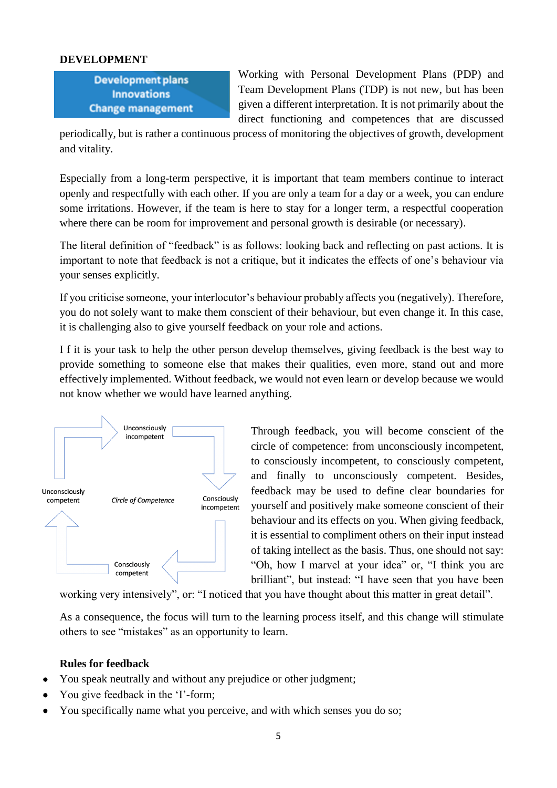#### **DEVELOPMENT**

**Development plans Innovations Change management**  Working with Personal Development Plans (PDP) and Team Development Plans (TDP) is not new, but has been given a different interpretation. It is not primarily about the direct functioning and competences that are discussed

periodically, but is rather a continuous process of monitoring the objectives of growth, development and vitality.

Especially from a long-term perspective, it is important that team members continue to interact openly and respectfully with each other. If you are only a team for a day or a week, you can endure some irritations. However, if the team is here to stay for a longer term, a respectful cooperation where there can be room for improvement and personal growth is desirable (or necessary).

The literal definition of "feedback" is as follows: looking back and reflecting on past actions. It is important to note that feedback is not a critique, but it indicates the effects of one's behaviour via your senses explicitly.

If you criticise someone, your interlocutor's behaviour probably affects you (negatively). Therefore, you do not solely want to make them conscient of their behaviour, but even change it. In this case, it is challenging also to give yourself feedback on your role and actions.

I f it is your task to help the other person develop themselves, giving feedback is the best way to provide something to someone else that makes their qualities, even more, stand out and more effectively implemented. Without feedback, we would not even learn or develop because we would not know whether we would have learned anything.



Through feedback, you will become conscient of the circle of competence: from unconsciously incompetent, to consciously incompetent, to consciously competent, and finally to unconsciously competent. Besides, feedback may be used to define clear boundaries for yourself and positively make someone conscient of their behaviour and its effects on you. When giving feedback, it is essential to compliment others on their input instead of taking intellect as the basis. Thus, one should not say: "Oh, how I marvel at your idea" or, "I think you are brilliant", but instead: "I have seen that you have been

working very intensively", or: "I noticed that you have thought about this matter in great detail".

As a consequence, the focus will turn to the learning process itself, and this change will stimulate others to see "mistakes" as an opportunity to learn.

#### **Rules for feedback**

- You speak neutrally and without any prejudice or other judgment;
- You give feedback in the 'I'-form;
- You specifically name what you perceive, and with which senses you do so;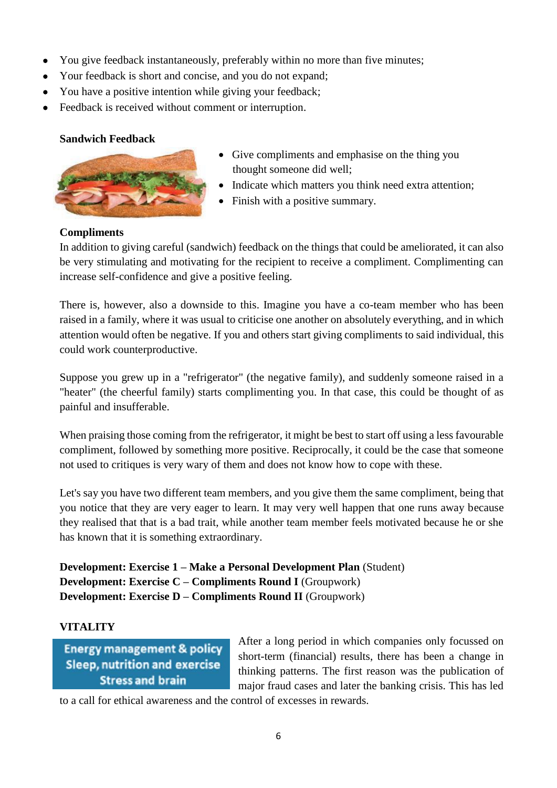- You give feedback instantaneously, preferably within no more than five minutes;
- Your feedback is short and concise, and you do not expand;
- You have a positive intention while giving your feedback;
- Feedback is received without comment or interruption.

#### **Sandwich Feedback**



- Give compliments and emphasise on the thing you thought someone did well;
- Indicate which matters you think need extra attention;
- Finish with a positive summary.

#### **Compliments**

In addition to giving careful (sandwich) feedback on the things that could be ameliorated, it can also be very stimulating and motivating for the recipient to receive a compliment. Complimenting can increase self-confidence and give a positive feeling.

There is, however, also a downside to this. Imagine you have a co-team member who has been raised in a family, where it was usual to criticise one another on absolutely everything, and in which attention would often be negative. If you and others start giving compliments to said individual, this could work counterproductive.

Suppose you grew up in a "refrigerator" (the negative family), and suddenly someone raised in a "heater" (the cheerful family) starts complimenting you. In that case, this could be thought of as painful and insufferable.

When praising those coming from the refrigerator, it might be best to start off using a less favourable compliment, followed by something more positive. Reciprocally, it could be the case that someone not used to critiques is very wary of them and does not know how to cope with these.

Let's say you have two different team members, and you give them the same compliment, being that you notice that they are very eager to learn. It may very well happen that one runs away because they realised that that is a bad trait, while another team member feels motivated because he or she has known that it is something extraordinary.

**Development: Exercise 1 – Make a Personal Development Plan** (Student) **Development: Exercise C – Compliments Round I** (Groupwork) **Development: Exercise D – Compliments Round II** (Groupwork)

# **VITALITY**

**Energy management & policy Sleep, nutrition and exercise Stress and brain** 

After a long period in which companies only focussed on short-term (financial) results, there has been a change in thinking patterns. The first reason was the publication of major fraud cases and later the banking crisis. This has led

to a call for ethical awareness and the control of excesses in rewards.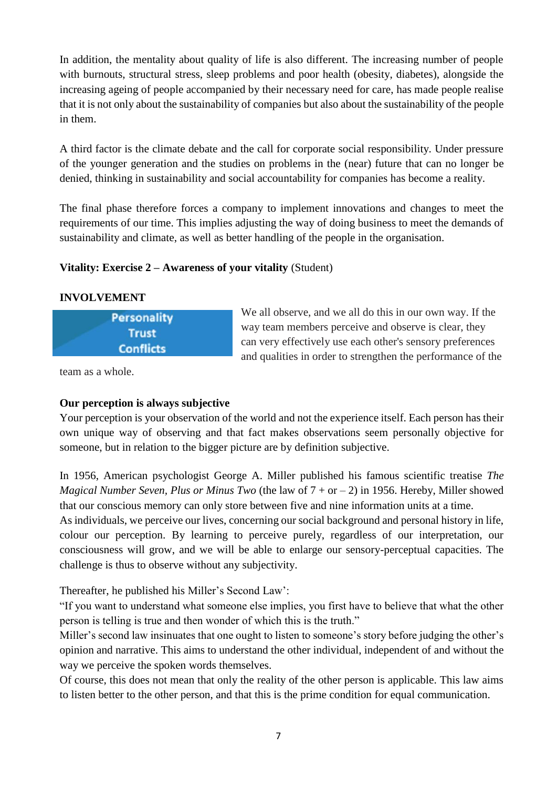In addition, the mentality about quality of life is also different. The increasing number of people with burnouts, structural stress, sleep problems and poor health (obesity, diabetes), alongside the increasing ageing of people accompanied by their necessary need for care, has made people realise that it is not only about the sustainability of companies but also about the sustainability of the people in them.

A third factor is the climate debate and the call for corporate social responsibility. Under pressure of the younger generation and the studies on problems in the (near) future that can no longer be denied, thinking in sustainability and social accountability for companies has become a reality.

The final phase therefore forces a company to implement innovations and changes to meet the requirements of our time. This implies adjusting the way of doing business to meet the demands of sustainability and climate, as well as better handling of the people in the organisation.

# **Vitality: Exercise 2 – Awareness of your vitality** (Student)

# **INVOLVEMENT**



We all observe, and we all do this in our own way. If the way team members perceive and observe is clear, they can very effectively use each other's sensory preferences and qualities in order to strengthen the performance of the

team as a whole.

### **Our perception is always subjective**

Your perception is your observation of the world and not the experience itself. Each person has their own unique way of observing and that fact makes observations seem personally objective for someone, but in relation to the bigger picture are by definition subjective.

In 1956, American psychologist George A. Miller published his famous scientific treatise *The Magical Number Seven, Plus or Minus Two* (the law of 7 + or – 2) in 1956. Hereby, Miller showed that our conscious memory can only store between five and nine information units at a time.

As individuals, we perceive our lives, concerning our social background and personal history in life, colour our perception. By learning to perceive purely, regardless of our interpretation, our consciousness will grow, and we will be able to enlarge our sensory-perceptual capacities. The challenge is thus to observe without any subjectivity.

Thereafter, he published his Miller's Second Law':

"If you want to understand what someone else implies, you first have to believe that what the other person is telling is true and then wonder of which this is the truth."

Miller's second law insinuates that one ought to listen to someone's story before judging the other's opinion and narrative. This aims to understand the other individual, independent of and without the way we perceive the spoken words themselves.

Of course, this does not mean that only the reality of the other person is applicable. This law aims to listen better to the other person, and that this is the prime condition for equal communication.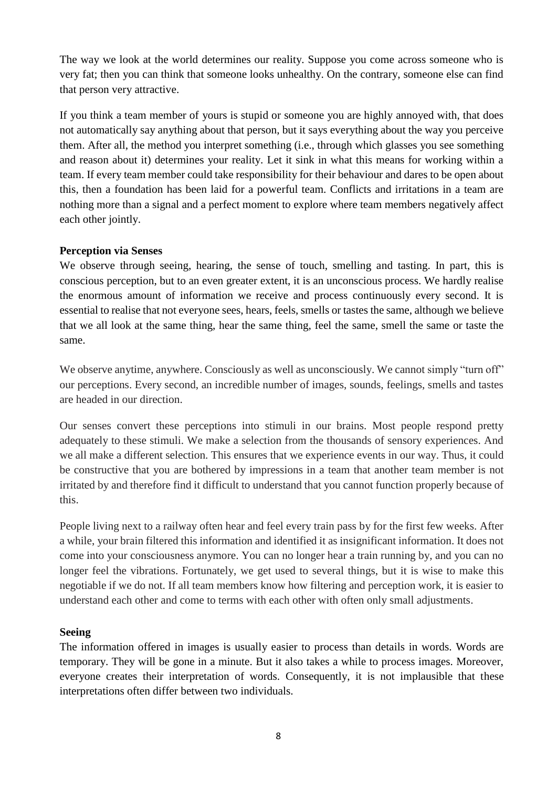The way we look at the world determines our reality. Suppose you come across someone who is very fat; then you can think that someone looks unhealthy. On the contrary, someone else can find that person very attractive.

If you think a team member of yours is stupid or someone you are highly annoyed with, that does not automatically say anything about that person, but it says everything about the way you perceive them. After all, the method you interpret something (i.e., through which glasses you see something and reason about it) determines your reality. Let it sink in what this means for working within a team. If every team member could take responsibility for their behaviour and dares to be open about this, then a foundation has been laid for a powerful team. Conflicts and irritations in a team are nothing more than a signal and a perfect moment to explore where team members negatively affect each other jointly.

#### **Perception via Senses**

We observe through seeing, hearing, the sense of touch, smelling and tasting. In part, this is conscious perception, but to an even greater extent, it is an unconscious process. We hardly realise the enormous amount of information we receive and process continuously every second. It is essential to realise that not everyone sees, hears, feels, smells or tastes the same, although we believe that we all look at the same thing, hear the same thing, feel the same, smell the same or taste the same.

We observe anytime, anywhere. Consciously as well as unconsciously. We cannot simply "turn off" our perceptions. Every second, an incredible number of images, sounds, feelings, smells and tastes are headed in our direction.

Our senses convert these perceptions into stimuli in our brains. Most people respond pretty adequately to these stimuli. We make a selection from the thousands of sensory experiences. And we all make a different selection. This ensures that we experience events in our way. Thus, it could be constructive that you are bothered by impressions in a team that another team member is not irritated by and therefore find it difficult to understand that you cannot function properly because of this.

People living next to a railway often hear and feel every train pass by for the first few weeks. After a while, your brain filtered this information and identified it as insignificant information. It does not come into your consciousness anymore. You can no longer hear a train running by, and you can no longer feel the vibrations. Fortunately, we get used to several things, but it is wise to make this negotiable if we do not. If all team members know how filtering and perception work, it is easier to understand each other and come to terms with each other with often only small adjustments.

### **Seeing**

The information offered in images is usually easier to process than details in words. Words are temporary. They will be gone in a minute. But it also takes a while to process images. Moreover, everyone creates their interpretation of words. Consequently, it is not implausible that these interpretations often differ between two individuals.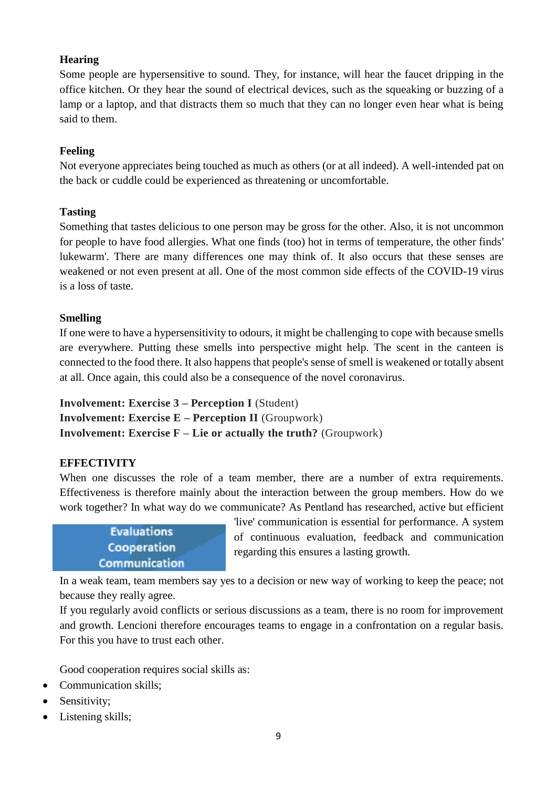# **Hearing**

Some people are hypersensitive to sound. They, for instance, will hear the faucet dripping in the office kitchen. Or they hear the sound of electrical devices, such as the squeaking or buzzing of a lamp or a laptop, and that distracts them so much that they can no longer even hear what is being said to them.

# **Feeling**

Not everyone appreciates being touched as much as others (or at all indeed). A well-intended pat on the back or cuddle could be experienced as threatening or uncomfortable.

# **Tasting**

Something that tastes delicious to one person may be gross for the other. Also, it is not uncommon for people to have food allergies. What one finds (too) hot in terms of temperature, the other finds' lukewarm'. There are many differences one may think of. It also occurs that these senses are weakened or not even present at all. One of the most common side effects of the COVID-19 virus is a loss of taste.

### **Smelling**

If one were to have a hypersensitivity to odours, it might be challenging to cope with because smells are everywhere. Putting these smells into perspective might help. The scent in the canteen is connected to the food there. It also happens that people's sense of smell is weakened or totally absent at all. Once again, this could also be a consequence of the novel coronavirus.

**Involvement: Exercise 3 – Perception I** (Student) **Involvement: Exercise E – Perception II** (Groupwork) **Involvement: Exercise F – Lie or actually the truth?** (Groupwork)

### **EFFECTIVITY**

When one discusses the role of a team member, there are a number of extra requirements. Effectiveness is therefore mainly about the interaction between the group members. How do we work together? In what way do we communicate? As Pentland has researched, active but efficient



'live' communication is essential for performance. A system of continuous evaluation, feedback and communication regarding this ensures a lasting growth.

In a weak team, team members say yes to a decision or new way of working to keep the peace; not because they really agree.

If you regularly avoid conflicts or serious discussions as a team, there is no room for improvement and growth. Lencioni therefore encourages teams to engage in a confrontation on a regular basis. For this you have to trust each other.

Good cooperation requires social skills as:

- Communication skills;
- Sensitivity;
- Listening skills;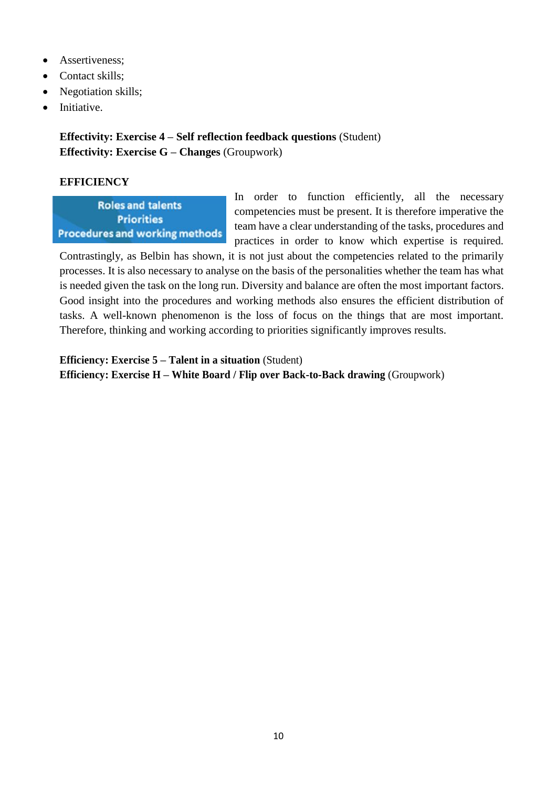- Assertiveness:
- Contact skills;
- Negotiation skills;
- Initiative.

**Effectivity: Exercise 4 – Self reflection feedback questions** (Student) **Effectivity: Exercise G – Changes** (Groupwork)

### **EFFICIENCY**

**Roles and talents Priorities Procedures and working methods**  In order to function efficiently, all the necessary competencies must be present. It is therefore imperative the team have a clear understanding of the tasks, procedures and practices in order to know which expertise is required.

Contrastingly, as Belbin has shown, it is not just about the competencies related to the primarily processes. It is also necessary to analyse on the basis of the personalities whether the team has what is needed given the task on the long run. Diversity and balance are often the most important factors. Good insight into the procedures and working methods also ensures the efficient distribution of tasks. A well-known phenomenon is the loss of focus on the things that are most important. Therefore, thinking and working according to priorities significantly improves results.

**Efficiency: Exercise 5 – Talent in a situation** (Student) **Efficiency: Exercise H – White Board / Flip over Back-to-Back drawing** (Groupwork)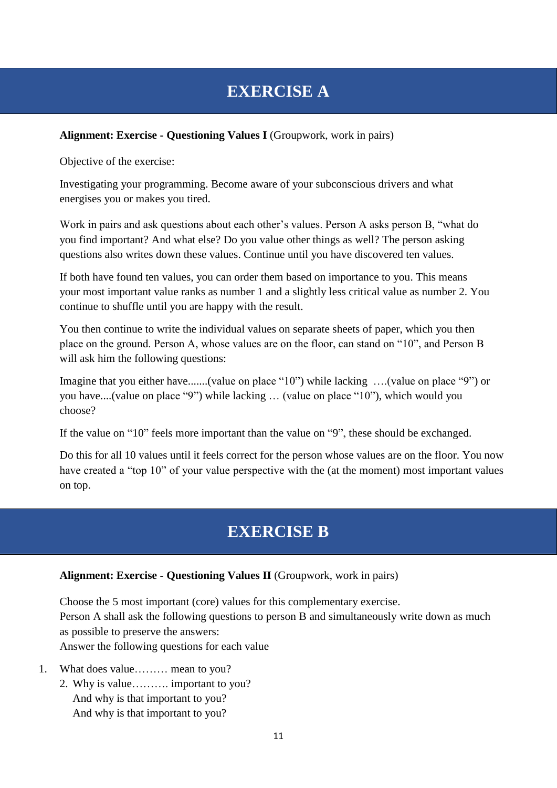# **EXERCISE A**

# **Alignment: Exercise - Questioning Values I** (Groupwork, work in pairs)

Objective of the exercise:

Investigating your programming. Become aware of your subconscious drivers and what energises you or makes you tired.

Work in pairs and ask questions about each other's values. Person A asks person B, "what do you find important? And what else? Do you value other things as well? The person asking questions also writes down these values. Continue until you have discovered ten values.

If both have found ten values, you can order them based on importance to you. This means your most important value ranks as number 1 and a slightly less critical value as number 2. You continue to shuffle until you are happy with the result.

You then continue to write the individual values on separate sheets of paper, which you then place on the ground. Person A, whose values are on the floor, can stand on "10", and Person B will ask him the following questions:

Imagine that you either have.......(value on place "10") while lacking ….(value on place "9") or you have....(value on place "9") while lacking … (value on place "10"), which would you choose?

If the value on "10" feels more important than the value on "9", these should be exchanged.

Do this for all 10 values until it feels correct for the person whose values are on the floor. You now have created a "top 10" of your value perspective with the (at the moment) most important values on top.

# **EXERCISE B**

# **Alignment: Exercise - Questioning Values II** (Groupwork, work in pairs)

Choose the 5 most important (core) values for this complementary exercise. Person A shall ask the following questions to person B and simultaneously write down as much as possible to preserve the answers: Answer the following questions for each value

- 1. What does value……… mean to you?
	- 2. Why is value………. important to you? And why is that important to you? And why is that important to you?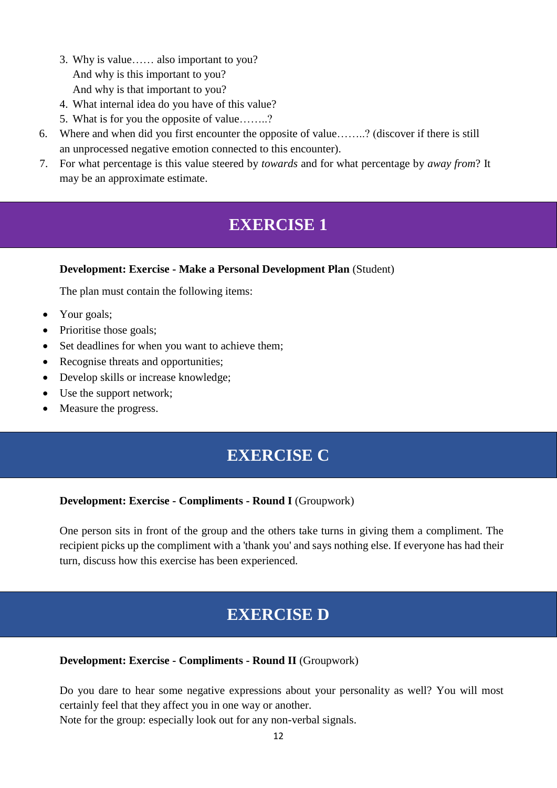- 3. Why is value…… also important to you? And why is this important to you? And why is that important to you?
- 4. What internal idea do you have of this value?
- 5. What is for you the opposite of value……..?
- 6. Where and when did you first encounter the opposite of value……..? (discover if there is still an unprocessed negative emotion connected to this encounter).
- 7. For what percentage is this value steered by *towards* and for what percentage by *away from*? It may be an approximate estimate.

# **EXERCISE 1**

#### **Development: Exercise - Make a Personal Development Plan** (Student)

The plan must contain the following items:

- Your goals;
- Prioritise those goals;
- Set deadlines for when you want to achieve them;
- Recognise threats and opportunities;
- Develop skills or increase knowledge;
- Use the support network;
- Measure the progress.

# **EXERCISE C**

#### **Development: Exercise - Compliments - Round I** (Groupwork)

One person sits in front of the group and the others take turns in giving them a compliment. The recipient picks up the compliment with a 'thank you' and says nothing else. If everyone has had their turn, discuss how this exercise has been experienced.

# **EXERCISE D**

#### **Development: Exercise - Compliments - Round II** (Groupwork)

Do you dare to hear some negative expressions about your personality as well? You will most certainly feel that they affect you in one way or another.

Note for the group: especially look out for any non-verbal signals.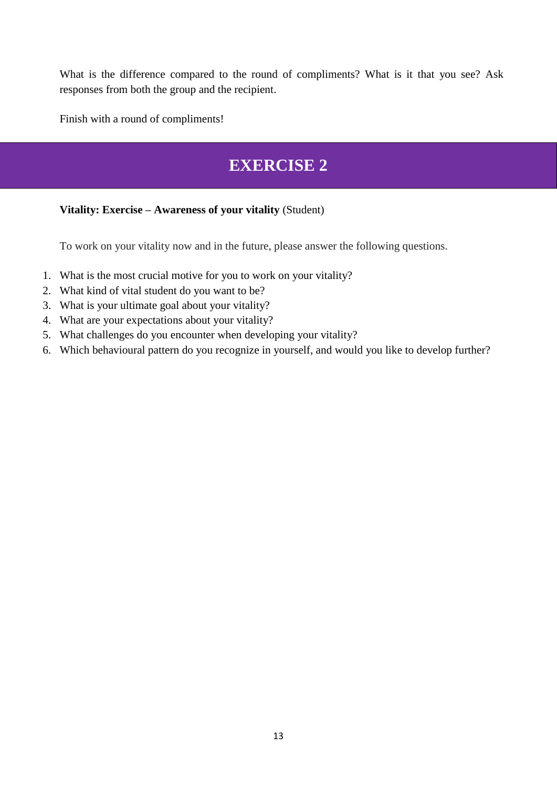What is the difference compared to the round of compliments? What is it that you see? Ask responses from both the group and the recipient.

Finish with a round of compliments!

# **EXERCISE 2**

# **Vitality: Exercise – Awareness of your vitality** (Student)

To work on your vitality now and in the future, please answer the following questions.

- 1. What is the most crucial motive for you to work on your vitality?
- 2. What kind of vital student do you want to be?
- 3. What is your ultimate goal about your vitality?
- 4. What are your expectations about your vitality?
- 5. What challenges do you encounter when developing your vitality?
- 6. Which behavioural pattern do you recognize in yourself, and would you like to develop further?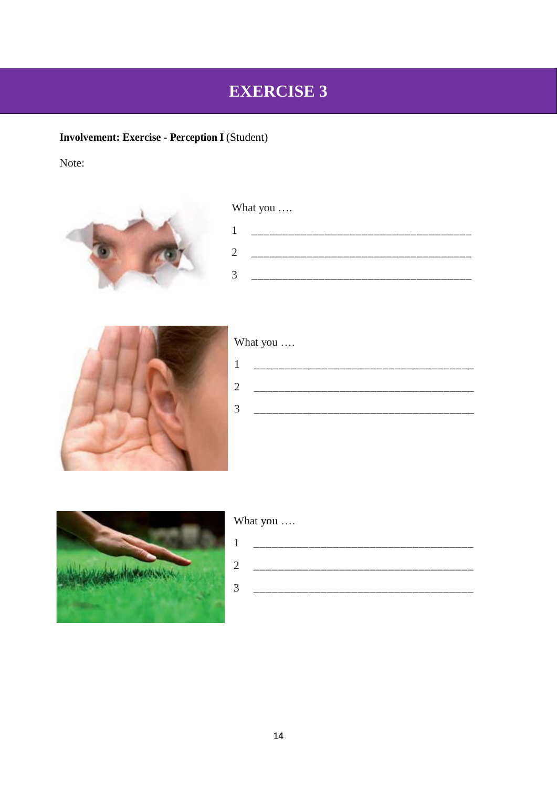# **EXERCISE 3**

# **Involvement: Exercise - Perception I (Student)**

Note:



# What you ....

| ________________<br>______ |
|----------------------------|
| ____                       |
|                            |



# What you ....

| _________________ | ______________<br>_____ |
|-------------------|-------------------------|
|                   |                         |
|                   | _____                   |
|                   |                         |
|                   |                         |
|                   |                         |



# What you ....

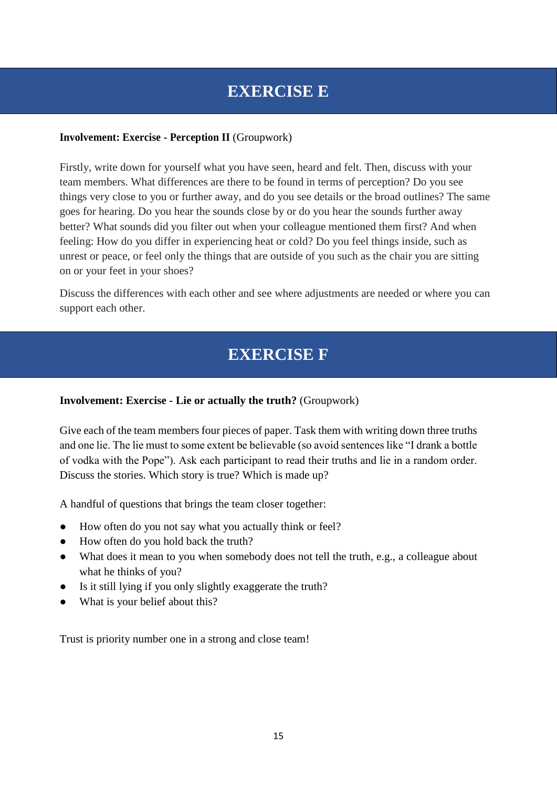# **EXERCISE E**

#### **Involvement: Exercise - Perception II** (Groupwork)

Firstly, write down for yourself what you have seen, heard and felt. Then, discuss with your team members. What differences are there to be found in terms of perception? Do you see things very close to you or further away, and do you see details or the broad outlines? The same goes for hearing. Do you hear the sounds close by or do you hear the sounds further away better? What sounds did you filter out when your colleague mentioned them first? And when feeling: How do you differ in experiencing heat or cold? Do you feel things inside, such as unrest or peace, or feel only the things that are outside of you such as the chair you are sitting on or your feet in your shoes?

Discuss the differences with each other and see where adjustments are needed or where you can support each other.

# **EXERCISE F**

#### **Involvement: Exercise - Lie or actually the truth?** (Groupwork)

Give each of the team members four pieces of paper. Task them with writing down three truths and one lie. The lie must to some extent be believable (so avoid sentences like "I drank a bottle of vodka with the Pope"). Ask each participant to read their truths and lie in a random order. Discuss the stories. Which story is true? Which is made up?

A handful of questions that brings the team closer together:

- How often do you not say what you actually think or feel?
- How often do you hold back the truth?
- What does it mean to you when somebody does not tell the truth, e.g., a colleague about what he thinks of you?
- Is it still lying if you only slightly exaggerate the truth?
- What is your belief about this?

Trust is priority number one in a strong and close team!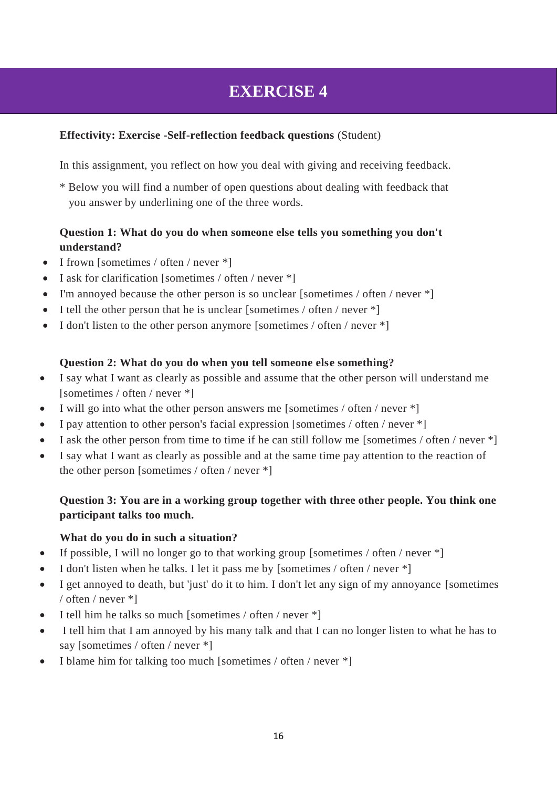# **EXERCISE 4**

# **Effectivity: Exercise -Self-reflection feedback questions** (Student)

In this assignment, you reflect on how you deal with giving and receiving feedback.

\* Below you will find a number of open questions about dealing with feedback that you answer by underlining one of the three words.

# **Question 1: What do you do when someone else tells you something you don't understand?**

- I frown [sometimes / often / never  $*$ ]
- $\bullet$  I ask for clarification [sometimes / often / never  $*$ ]
- I'm annoved because the other person is so unclear [sometimes  $/$  often  $/$  never  $*$ ]
- $\bullet$  I tell the other person that he is unclear [sometimes / often / never  $*$ ]
- $\bullet$  I don't listen to the other person anymore [sometimes / often / never  $*$ ]

# **Question 2: What do you do when you tell someone else something?**

- I say what I want as clearly as possible and assume that the other person will understand me [sometimes / often / never \*]
- I will go into what the other person answers me [sometimes / often / never  $*$ ]
- I pay attention to other person's facial expression [sometimes / often / never  $*$ ]
- $\bullet$  I ask the other person from time to time if he can still follow me [sometimes / often / never  $*$ ]
- I say what I want as clearly as possible and at the same time pay attention to the reaction of the other person [sometimes / often / never \*]

# **Question 3: You are in a working group together with three other people. You think one participant talks too much.**

### **What do you do in such a situation?**

- If possible, I will no longer go to that working group [sometimes  $/$  often  $/$  never  $*$ ]
- $\bullet$  I don't listen when he talks. I let it pass me by [sometimes / often / never  $*$ ]
- I get annoyed to death, but 'just' do it to him. I don't let any sign of my annoyance [sometimes / often / never \*]
- $\bullet$  I tell him he talks so much [sometimes / often / never  $*$ ]
- I tell him that I am annoyed by his many talk and that I can no longer listen to what he has to say [sometimes / often / never \*]
- $\bullet$  I blame him for talking too much [sometimes / often / never  $*$ ]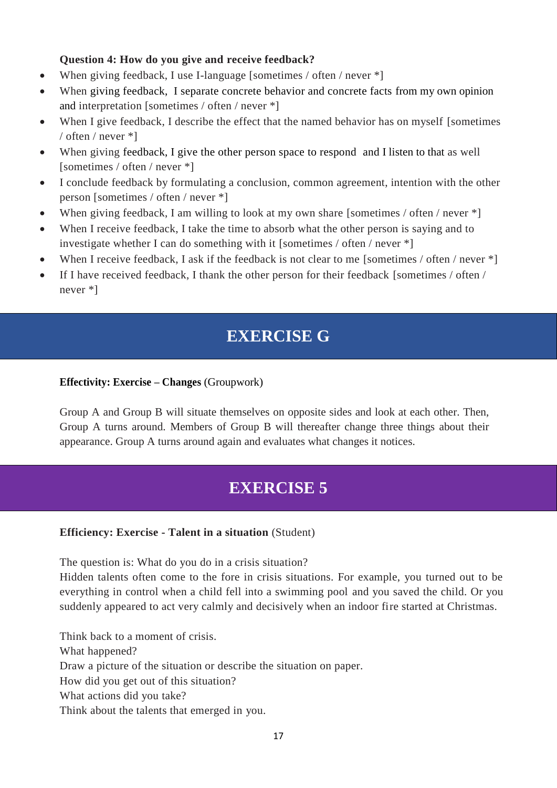# **Question 4: How do you give and receive feedback?**

- When giving feedback, I use I-language [sometimes / often / never  $*$ ]
- When giving feedback, [I separate concrete behavior and concrete facts](https://www.bpopleidingen.nl/e-learning-opbouwend-feedback-geven/) from my own opinion and interpretation [sometimes / often / never \*]
- When I give feedback, I describe the effect that the named behavior has on myself [sometimes] / often / never \*]
- When giving [feedback, I give the other person space to respond](https://www.bpopleidingen.nl/geweldloze-communicatie/) and I listen to that as well [sometimes / often / never \*]
- I conclude feedback by formulating a conclusion, common agreement, intention with the other person [sometimes / often / never \*]
- When giving feedback, I am willing to look at my own share [sometimes / often / never  $*$ ]
- When I receive feedback, I take the time to absorb what the other person is saying and to investigate whether I can do something with it [sometimes / often / never \*]
- When I receive feedback, I ask if the feedback is not clear to me [sometimes  $/$  often  $/$  never  $*$ ]
- If I have received feedback, I thank the other person for their feedback [sometimes / often / never \*]

# **EXERCISE G**

# **Effectivity: Exercise – Changes** (Groupwork)

Group A and Group B will situate themselves on opposite sides and look at each other. Then, Group A turns around. Members of Group B will thereafter change three things about their appearance. Group A turns around again and evaluates what changes it notices.

# **EXERCISE 5**

### **Efficiency: Exercise - Talent in a situation** (Student)

The question is: What do you do in a crisis situation?

Hidden talents often come to the fore in crisis situations. For example, you turned out to be everything in control when a child fell into a swimming pool and you saved the child. Or you suddenly appeared to act very calmly and decisively when an indoor fire started at Christmas.

Think back to a moment of crisis. What happened? Draw a picture of the situation or describe the situation on paper. How did you get out of this situation? What actions did you take? Think about the talents that emerged in you.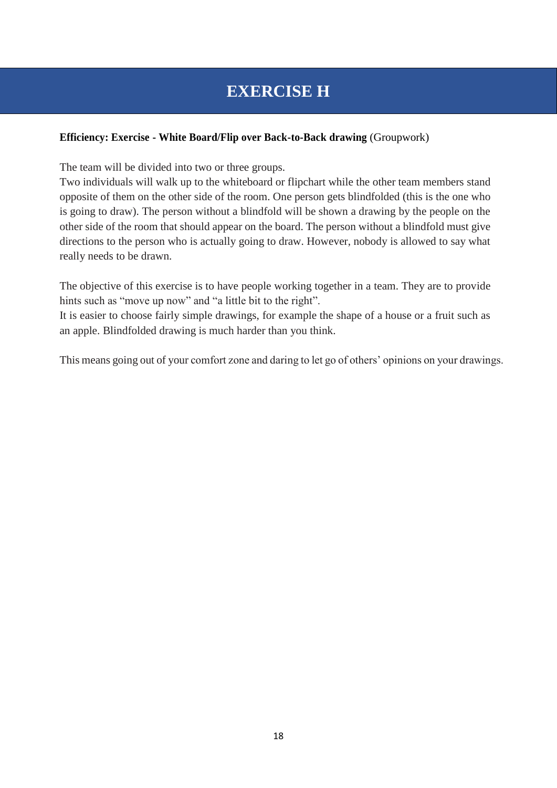# **EXERCISE H**

### **Efficiency: Exercise - White Board/Flip over Back-to-Back drawing** (Groupwork)

The team will be divided into two or three groups.

Two individuals will walk up to the whiteboard or flipchart while the other team members stand opposite of them on the other side of the room. One person gets blindfolded (this is the one who is going to draw). The person without a blindfold will be shown a drawing by the people on the other side of the room that should appear on the board. The person without a blindfold must give directions to the person who is actually going to draw. However, nobody is allowed to say what really needs to be drawn.

The objective of this exercise is to have people working together in a team. They are to provide hints such as "move up now" and "a little bit to the right".

It is easier to choose fairly simple drawings, for example the shape of a house or a fruit such as an apple. Blindfolded drawing is much harder than you think.

This means going out of your comfort zone and daring to let go of others' opinions on your drawings.